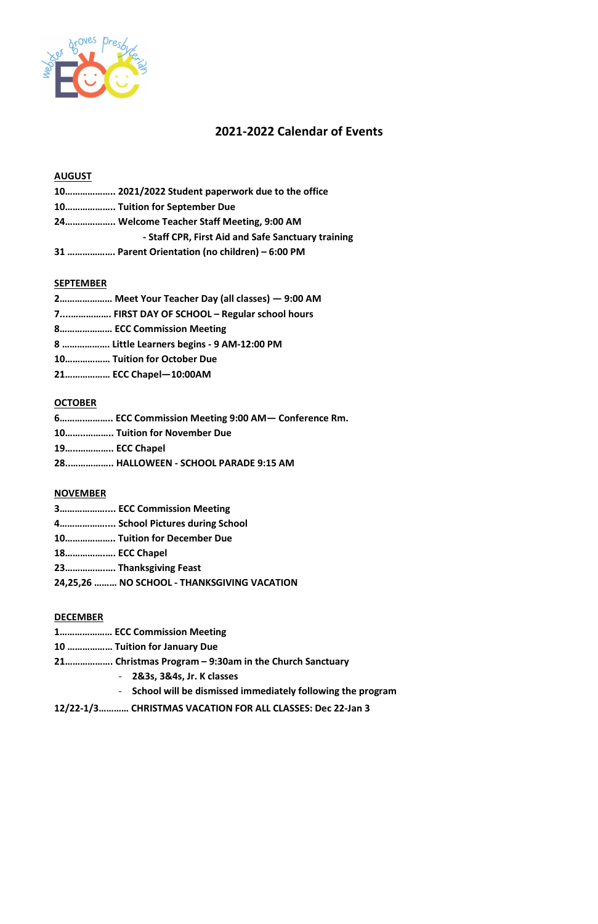

# 2021-2022 Calendar of Events

## AUGUST

- 10……………….. 2021/2022 Student paperwork due to the office
- 10……………….. Tuition for September Due
- 24……………….. Welcome Teacher Staff Meeting, 9:00 AM
	- Staff CPR, First Aid and Safe Sanctuary training
- 31 ………………. Parent Orientation (no children) 6:00 PM

#### **SEPTEMBER**

- 2………………… Meet Your Teacher Day (all classes) 9:00 AM
- 7....……………. FIRST DAY OF SCHOOL Regular school hours
- 8………………… ECC Commission Meeting
- 8 ………………. Little Learners begins 9 AM-12:00 PM
- 10……………… Tuition for October Due
- 21……………… ECC Chapel—10:00AM

# **OCTOBER**

- 6……….……….. ECC Commission Meeting 9:00 AM— Conference Rm.
- 10……..……….. Tuition for November Due
- 19…..………….. ECC Chapel
- 28..…………….. HALLOWEEN SCHOOL PARADE 9:15 AM

## **NOVEMBER**

- 3……………….... ECC Commission Meeting
- 4……………….... School Pictures during School
- 10……………….. Tuition for December Due
- 18…………….…. ECC Chapel
- 23…………….…. Thanksgiving Feast
- 24,25,26 ……… NO SCHOOL THANKSGIVING VACATION

## DECEMBER

- 1………………… ECC Commission Meeting
- 10 ……………… Tuition for January Due
- 21………………. Christmas Program 9:30am in the Church Sanctuary
	- 2&3s, 3&4s, Jr. K classes
	- School will be dismissed immediately following the program

12/22-1/3………… CHRISTMAS VACATION FOR ALL CLASSES: Dec 22-Jan 3